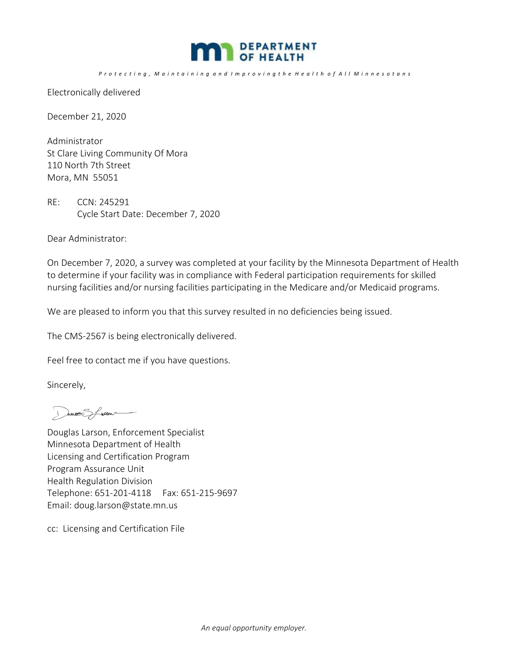

## Protecting, Maintaining and Improving the Health of All Minnesotans

Electronically delivered

December 21, 2020

Administrator St Clare Living Community Of Mora 110 North 7th Street Mora, MN 55051

RE: CCN: 245291 Cycle Start Date: December 7, 2020

Dear Administrator:

On December 7, 2020, a survey was completed at your facility by the Minnesota Department of Health to determine if your facility was in compliance with Federal participation requirements for skilled nursing facilities and/or nursing facilities participating in the Medicare and/or Medicaid programs.

We are pleased to inform you that this survey resulted in no deficiencies being issued.

The CMS‐2567 is being electronically delivered.

Feel free to contact me if you have questions.

Sincerely,

Dures Sfreer

Douglas Larson, Enforcement Specialist Minnesota Department of Health Licensing and Certification Program Program Assurance Unit Health Regulation Division Telephone: 651‐201‐4118 Fax: 651‐215‐9697 Email: doug.larson@state.mn.us

cc: Licensing and Certification File